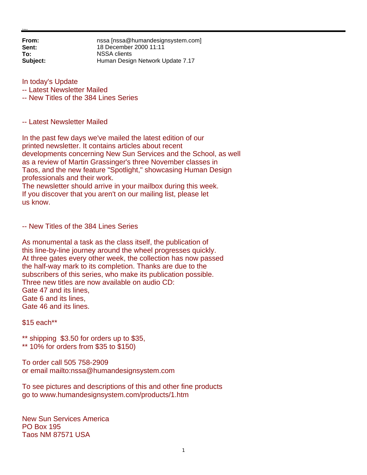**From:** nssa [nssa@humandesignsystem.com]<br> **Sent:** 18 December 2000 11:11 **Sent:** 18 December 2000 11:11 **To:** NSSA clients **Subject:** Human Design Network Update 7.17

In today's Update

-- Latest Newsletter Mailed

-- New Titles of the 384 Lines Series

-- Latest Newsletter Mailed

In the past few days we've mailed the latest edition of our printed newsletter. It contains articles about recent developments concerning New Sun Services and the School, as well as a review of Martin Grassinger's three November classes in Taos, and the new feature "Spotlight," showcasing Human Design professionals and their work.

The newsletter should arrive in your mailbox during this week. If you discover that you aren't on our mailing list, please let us know.

-- New Titles of the 384 Lines Series

As monumental a task as the class itself, the publication of this line-by-line journey around the wheel progresses quickly. At three gates every other week, the collection has now passed the half-way mark to its completion. Thanks are due to the subscribers of this series, who make its publication possible. Three new titles are now available on audio CD: Gate 47 and its lines, Gate 6 and its lines, Gate 46 and its lines.

\$15 each\*\*

\*\* shipping \$3.50 for orders up to \$35,

\*\* 10% for orders from \$35 to \$150)

To order call 505 758-2909 or email mailto:nssa@humandesignsystem.com

To see pictures and descriptions of this and other fine products go to www.humandesignsystem.com/products/1.htm

New Sun Services America PO Box 195 Taos NM 87571 USA